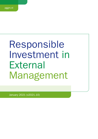# Responsible Investment in **External** Management

January 2021 (v2021.10)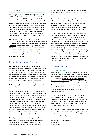# 1. Introduction

AAs a long-term investor, PGGM Vermogensbeheer B.V. (PGGM Investments, hereinafter PGGM) is committed to investing responsibly. PGGM manages its clients' External Management investments in order to contribute towards a stable pension for their participants while also taking into consideration its impact on the world. PGGM recognizes that environmental, social, and governance (ESG) factors have a material impact on the financial performance of the portfolio, especially in the longer term. As such, integrating ESG issues into investment analysis and decision-making processes is part of its fiduciary duty.

This guideline addresses PGGM's management of ESG issues with regard to External Management. The guideline is a further refinement of PGGM's Responsible Investment [Framework](https://www.pggm.nl/media/f4zoxray/responsible-investment-implementation-framework_pggm.pdf) and its implementation guidelines and the relevant fund prospectus and ancillary documentation. In addition, the obligations arising from compliance with legislation and regulations apply. The guidelines cover all investments made by External Management, effective since 1 January 2021.

# 2. Investment strategy & approach

The External Management department (External Management) of PGGM Investments selects, monitors and manages, on behalf of our clients, funds and segregated mandates which are managed by one or more internal and/or external managers. PGGM Investments recognizes the important role External Management has with regard to responsible investment, which is to ensure that our managers apply our and our clients' policies and guidelines and where relevant, proactively manage Environmental, Social and Governance (ESG) risk and opportunities.

External Management will seek further understanding of the actual activities of the manager in integrating ESG in their investment process. This is included in the selection and monitoring of managers. It is expected that the managers live up to the spirit of the PGGM Responsible Investment beliefs in both their investment processes and in the way that they organize their business. Where relevant the managers are expected to analyse the portfolio companies on their financial merits as well as their ESG performance. External management believes this helps to reduce investment and reputational risk or increase (expected) returns of the portfolio.

By having in place a transparent responsible investment guideline for External Management, as further outlined in this document, and by actively taking into account ESG-related performance in investment decisions,

External Management believes that it offers a positive contribution that is best practice and in line with clients' stated objectives.

The team aims is to be fully compliant with obligations arising from legislation and regulations. The relevant standards, codes of conduct or (inter)national initiatives or legislation that apply and have an impact on implementation are discussed below. For more detailed information please see [PGGM Investments website.](https://www.pggm.nl/en/our-services/transparency-reports-and-policy-documents/)

Besides implementing client policy and complying with rules and regulations, External Management believes that ESG factors can have a material impact on the financial performance of its investments and sees it as its responsibility to capture the value of and mitigate the risks related to ESG factors. In addition to this, we firmly believe that sustainable development can contribute towards stable and good investment returns for our clients in the long term. External Management therefore, where possible and meaningful, aims to actively seek for and contribute to solutions that increase the positive impact of the goals as defined in the [PGGM Responsible](https://gresb.com/)  [Investment Beliefs](https://gresb.com/). Moreover, we believe in the driving force of our clients' capital.

# 3. Implementation

## 3.a. ESG-integration

PGGM defines ESG integration as systematically taking into account those ESG factors that have a material effect on investment risk and return. Across its entire portfolio PGGM uses the [Materiality Map of the Sustainable](https://www.sasb.org/standards-overview/materiality-map/) [Accounting Standards Board](https://www.sasb.org/standards-overview/materiality-map/) (SASB) as the framework to identify material ESG issues per sector. Where relevant, External Management aims to select managers who take the SASB Materiality Map or equivalents into account when analysing ESG risks and opportunities in the investment process.

External Management uses the PGGM Selection and Monitoring Framework (SMF) to assess the quality of potential managers and for ongoing monitoring of current managers. This framework consists of seven categories: Philosophy, People, Process, Performance, Planet (ESG), Platform/Organization, Price/Costs.

The category 'Planet' is the basis to determine the extent to which the external manager has integrated responsible investing in its investment process and to which extent it is incorporated in its day to day operations.

The SMF consists of 2 stages:

- 1 Selection
- 2 Monitoring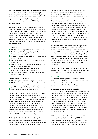### Ad 1 Attention to 'Planet' (ESG) in the Selection stage

In this stage the focus will be on understanding the managers' policies, beliefs and commitments regarding responsible investment and how the manager has organized the responsibility for responsible investment. We assess the managers' degree of ESG-integration and active ownership.

We seek to appoint managers whose objectives and beliefs on ESG integration match those of PGGM and our clients. To score the manager on "Planet" we look at both the company level as the strategy level, based on the "PRI Asset Owner Manager Selection Guide". ESG risks are defined as risks for the financial returns from material ESG factors. During the selection process, it is evaluated how the managers integrate ESG risks in their decision making as follows:

### ESG Policy:

- What are the manager's beliefs on ESG integration?
- $\blacksquare$  To what extent is ESG integration part of the investment philosophy?
- Does the manager have an ESG policy in place and is it comprehensive?
- $\blacksquare$  Has the manager signed up to the UN PRI or similar initiatives?
- How do ESG policies and guidelines affect investment decision making processes?
- What processes and systems are in place to consistently implement these policies?
- Do engagement activities and proxy voting guidelines reflect ESG policies?

### Governance of ESG integration:

- Who is responsible for ESG integration at what level?
- What are the skills and competence of the staff in this area, be it a dedicated ESG integration team or portfolio manager who has to implement the policies?
- How are people trained on ESG integration?

As a minimum the manager has to be able to implement the ESG integration requirements as specified in the mandate. The extent to which this plays a role in scoring the manager depends on the importance the client on whose behalf the selection is performed places on ESG integration. If a manager scores poorly on "Planet" this can further contribute to an overall negative score, meaning the manager will not be selected. In general we favor managers that have articulated their beliefs on responsible investment and that have demonstrably integrated ESG risks in their investment process.

### Ad 2 Attention to 'Planet' in the Monitoring stage

The same areas are evaluated on a structural basis when External Management monitors the appointed managers and periodically meets with management. PGGM

determines how ESG factors will be discussed, which assessment criteria apply to them, what reporting requirements and KPIs are laid down and how the ESG performance of the underlying investments are monitored. Before meeting with management, the relevant subjects for the discussion are determined. The integration of ESG risks is a standard agenda item. Where available, the manager's reporting on this topic provides important input to this discussion. We will structurally consider relevant developments and research regarding ESG integration during the review period. The appointed manager will be asked to explain how the investment strategy and decisions by portfolio managers align with our expectations, as stated in the Asset Management Agreement and if and how investment decisions have been influenced by ESG considerations.

The PGGM External Management team manages several mandates and funds that operate in a diverse set of countries and sectors, which gives it exposure to a broad variety of ESG risks and opportunities. ESG is integrated in the investment strategy and approach to help reduce ESG-related investment and reputational risks or increase (expected) returns of the portfolio. Climate-related risks, which are considered a sub-set of ESG risks are therefore covered by the ESG integration process of External Management.

Besides this, PGGM External Management aims supporting PGGM's ambition of assessing and monitoring the exposure of its whole portfolio to climate risks by 2025.

### 3.b. Impact

In addition to a better-performing portfolio, External Management seeks to enhance the positive impact of its investments and to minimize adverse impacts even when they do not directly affect the financial performance.

### 1. Positive impact: investing in the SDGs

In 2016 PGGM and APG defined Sustainable Development Investments (SDIs) as "investments that yield market-rate financial returns while generating a positive social and/or environmental impact" (i.e. contribute to the Sustainable Development Goals). In 2020 Australian Super, British Colombia Investment Management Corporation joined APG and PGGM in the [SDI-Asset Owner Platform](https://www.sdi-aop.org/) which owns a taxonomy of products and services (solutions) that contribute to the SDGs. With a set of decision rules the taxonomy forms the basis for the classification of investments as 'SDI'.

PGGM largest client's ambition is to increase the SDI volume to 20% of the total portfolio by 2025. The effort to measure portfolio companies' real-world impact, however, is currently limited to seven focus SDGs: #2 (zero hunger), #3 (good health and wellbeing), #6 (clean water and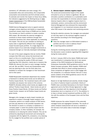sanitation), #7 (affordable and clean energy), #11 (sustainable cities and communities), #12 (responsible consumption and production) and #13 (climate action). To estimate and monitor the impact on these focus SDGs, the indicators suggested by the Working Group on [SDG](https://www.dnb.nl/en/about-dnb/co-operation/platform-voor-duurzame-financiering/sdg-impactmeting/index.jsp) [impact measurement](https://www.dnb.nl/en/about-dnb/co-operation/platform-voor-duurzame-financiering/sdg-impactmeting/index.jsp) of the DNB-facilitated Sustainable Finance Platform are used.

PGGM External Management aims to appoint external managers whose objectives and beliefs on responsible investment closely match those of PGGM and our clients. This includes our client's ambition to create a positive SDG impact. We stimulate the external managers to contribute to these impact ambitions through their investment decisions and, where applicable, by measuring this impact. This will vary per mandate as tracking an equity index is significantly different than managing an impact focused equity portfolio. To a large degree the positive impact of our externally managed investments is measured through our internally developed methodology.

For each of the asset categories that we monitor, PGGM compare their ESG score versus the benchmark and report on this on a monthly basis. There is continuous progress in improving the quality of ESG and impact reporting (like CO2 reduction), mainly due to investors like PGGM who discuss this topic on every manager meeting and call. We use MSCI, Trucost and Sustainalytics data (and are planning to also use the Entis data once available) to compare the managers to their benchmark and to their peers.

PGGM Responsible Investment department has created a framework to identify which bonds can be defined as Positive Impact Bonds. The investment teams with credit mandates can propose new names to this universe. PGGM RI ultimately defines which bonds are eligible to be defined 'Positive Impact Bonds'. Green bonds are part of these Positive Impact Bonds. All Green bonds are Positive Impact bonds, however not all Positive Impact bonds are green bonds.

Managers who manage an equity impact mandate are expected to conduct a thorough impact analysis of the companies, perform an in-depth analysis of ESG factors and also pay attention to the possible reputation risk. The decision to invest in a company is explained in a 'company paper' in which the positive impact that the company creates. In other mandates, for example, the emphasis is on reducing the carbon footprint. This can be achieved by adjusting the benchmark and removing the companies with the highest  $CO<sub>2</sub>$  emissions, or by reducing the CO<sub>2</sub> budget for the portfolio over a certain period of time.

### 2. Adverse impact: minimise negative impact

The social and environmental impact of the capital entrusted to us by our clients is significant. We can stimulate a positive contribution to a sustainable world and have the responsibility to minimise adverse impact. Adverse impacts refers to negative impacts (harm) to individuals, workers, communities and the environment. External Management has embraced this responsibility and integrated it in our investment process along with other ESG issues in the selection and monitoring process

During the selection process, the managers are evaluated on how they report on the eventual negative impact of their activities according to the following guiding questions:

- Does the manager report on ESG-related incidents in portfolio and how it acts to address these?
- Is reporting publicly available?

During the monitoring process described in paragraph 3, the discussion covers incidents regarding ESG integration during the review period.

As from 1 January 2022 at the latest, PGGM shall avoid new investments in companies that are in very severe violation of the OECD Guidelines for Multinational Enterprises (hereinafter OECD guidelines) and/or the UN Global Compact principles. When feasible, PGGM shall undertake best efforts to divest existing exposures to these companies all together and/or shall engage with the companies, or a selection thereof, that are in (very) severe violation of the OECD guidelines and/or the UN Global Compact principles.

Based on its high likelihood and severity, climate change as a driver of adverse impact is prioritized. Clients of PGGM's have committed themselves to the Dutch Climate agreement and to the Paris Climate Agreement to align policies consistent with the objective to limit the global temperature rise to a maximum of 1.5 °C. The ambition is to have a climate neutral investment portfolio by 2050 - in line with the ambition of the European Union and the Paris objectives.

PGGM measures the carbon footprint of the externally managed funds and segregated mandates. The results of carbon footprint measurement will serve to establish a full overview of all carbon data of externally managed assets.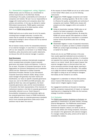### 3.c. Stewardship (engagement, voting, litigation)

PGGM actively uses its influence as a shareholder to achieve improvements in the ESG field, thereby contributing to the quality, sustainability and continuity of companies and markets. We see it as our responsibility to engage with market parties and companies about their policies and activities. In this way, we attempt to realise ESG-related improvements. PGGM applies customized voting principles across all its listed equities, written down in our [PGGM Voting Guidelines](https://www.pggm.nl/media/5xxhbgnv/pggm-global-voting-guidelines_2020.pdf).

PGGM itself acts as an active owner for all of its assets, including those managed externally. In practice this means that for example all voting and engagement for listed equity holdings is done in-house and not by external managers themselves.

We do however closely monitor the stewardship behaviour of our external managers. In case there is a misalignment with our own viewpoints, as laid down in our Global Voting Guidelines, policy documents and/or public statements, we discuss this with the external manager in question.

### Good Governance

PGGM Investments endorses internationally recognized and/or accepted basic principles of good corporate governance and proper checks and balances. It refers to the six basic 'Principles of Corporate Governance' by the Organisation for Economic Development and Co-operation (OECD) and the 'Statement on Global Corporate Governance Principles: Revised' by the International Corporate Governance Network (ICGN). Being a Dutch asset manager with generally only Dutch clients and beneficiaries, our views on specific corporate governance issues are, next to the OECD and ICGN principles, also guided by Dutch law, rules and regulations, the Dutch corporate governance code, and the recommendations of Eumedion (the Dutch representative of the interests of institutional investors in the field of corporate governance) (hereinafter referred to as our 'Dutch Descent'). Accountability, transparency and shareholder rights are key corporate governance issues to PGGM Investments. Locally different views on corporate governance standards and/or local corporate governance codes and/or best practices may be taken into account.

At the request of clients PGGM can act as an active owner on their behalf. When asked, we use the following instruments:

- **Engagement: PGGM engages companies and market** participants, including regulators. We do this in order to influence the quality, sustainability and continuity of companies and markets. PGGM works closely with analysts and other engagers within and outside of PGGM.
- Voting at shareholder meetings: PGGM votes on all shares of all listed companies in the portfolio according to its own Voting Guidelines. By doing this PGGM can pursue specific ESG objectives on behalf of clients and ensure this is executed in a consistent manner across all portfolios (also see our Voting Guidelines)
- Shareholder litigation: In case of (expected) misconduct, like fraud or corruption, by listed or unlisted companies PGGM can conduct legal proceedings as a shareholder on behalf of its clients

Clients who do not use PGGM services in this area have usually appointed dedicated service providers to undertake their active ownership activities. It is therefore not expected from external managers to act as an active owner on our clients' behalf. We do expect however that external managers keep us informed about their own active ownership activities through regular reporting to allow us to critically review the outcomes. This enables us to judge the external manager's relative positioning with regard to voting as we are looking for managers that ideally are like minded to our clients.

Engagement is undertaken to influence ESG practices and/or improve ESG disclosure, to improve positive impact and/or mitigate negative impact.

Our engagement activities are focused on (improving) portfolio companies measurement of impact, on improved reporting and on integrating the SDGs into the business strategy of portfolio companies.

### 3.d. Exclusion

The [PGGM Implementation Guidelines on Exclusion](https://www.pggm.nl/media/f4zoxray/responsible-investment-implementation-framework_pggm.pdfhttps:/www.pggm.nl/media/f4zoxray/responsible-investment-implementation-framework_pggm.pdf) are applicable to investments in all asset classes, including External Management. The PGGM-wide product-based Exclusion List consists of companies engaged in controversial weapons, tobacco, tar sands as well as thermal coal utilities and mining companies. Exclusions are included in the agreements with external managers. If a manager violates the policy, actions will be taken to remediate the violation.